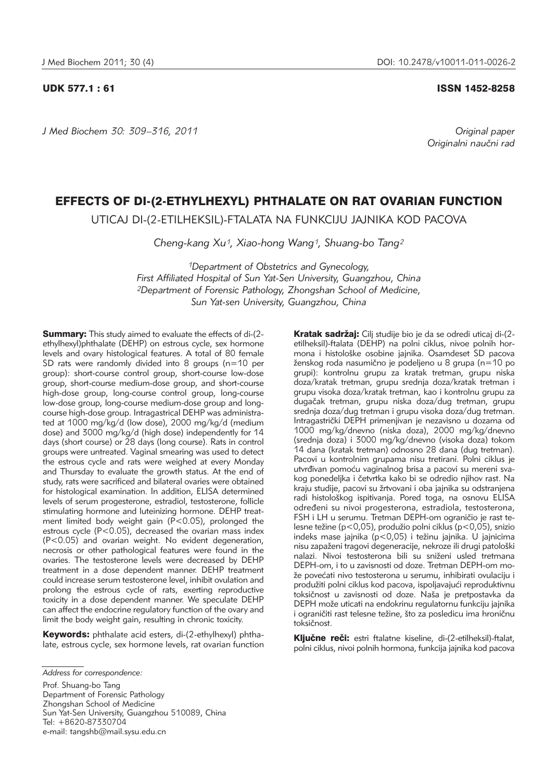*J Med Biochem 30: 309–316, 2011 Original paper*

## UDK 577.1 : 61 ISSN 1452-8258

Originalni naučni rad

# EFFECTS OF DI-(2-ETHYLHEXYL) PHTHALATE ON RAT OVARIAN FUNCTION

UTICAJ DI-(2-ETILHEKSIL)-FTALATA NA FUNKCIJU JAJNIKA KOD PACOVA

*Cheng-kang Xu1, Xiao-hong Wang1, Shuang-bo Tang2*

*1Department of Obstetrics and Gynecology, First Affiliated Hospital of Sun Yat-Sen University, Guangzhou, China 2Department of Forensic Pathology, Zhongshan School of Medicine, Sun Yat-sen University, Guangzhou, China*

**Summary:** This study aimed to evaluate the effects of di-(2ethylhexyl) phthalate (DEHP) on estrous cycle, sex hormone levels and ovary histological features. A total of 80 female SD rats were randomly divided into 8 groups (n=10 per group): short-course control group, short-course low-dose group, short-course medium-dose group, and short-course high-dose group, long-course control group, long-course low-dose group, long-course medium-dose group and longcourse high-dose group. Intragastrical DEHP was administrated at 1000 mg/kg/d (low dose), 2000 mg/kg/d (medium dose) and 3000 mg/kg/d (high dose) independently for 14 days (short course) or 28 days (long course). Rats in control groups were untreated. Vaginal smearing was used to detect the estrous cycle and rats were weighed at every Monday and Thursday to evaluate the growth status. At the end of study, rats were sacrificed and bilateral ovaries were obtained for histological examination. In addition, ELISA determined levels of serum progesterone, estradiol, testosterone, follicle stimulating hormone and luteinizing hormone. DEHP treat ment limited body weight gain (P<0.05), prolonged the estrous cycle  $(P< 0.05)$ , decreased the ovarian mass index (P<0.05) and ovarian weight. No evident degeneration, necrosis or other pathological features were found in the ovaries. The testosterone levels were decreased by DEHP treatment in a dose dependent manner. DEHP treatment could increase serum testosterone level, inhibit ovulation and prolong the estrous cycle of rats, exerting reproductive toxicity in a dose dependent manner. We speculate DEHP can affect the endocrine regulatory function of the ovary and limit the body weight gain, resulting in chronic toxicity.

Keywords: phthalate acid esters, di-(2-ethylhexyl) phthalate, estrous cycle, sex hormone levels, rat ovarian function

Prof. Shuang-bo Tang Department of Forensic Pathology Zhongshan School of Medicine Sun Yat-Sen University, Guangzhou 510089, China Tel: +8620-87330704 e-mail: tangshb@mail.sysu.edu.cn

Kratak sadržaj: Cilj studije bio je da se odredi uticaj di-(2etilheksil)-ftalata (DEHP) na polni ciklus, nivoe polnih hormona i histološke osobine jajnika. Osamdeset SD pacova ženskog roda nasumično je podeljeno u 8 grupa (n=10 po grupi): kontrolnu grupu za kratak tretman, grupu niska doza/kratak tretman, grupu srednja doza/kratak tretman i grupu visoka doza/kratak tretman, kao i kontrolnu grupu za dugačak tretman, grupu niska doza/dug tretman, grupu srednja doza/dug tretman i grupu visoka doza/dug tretman. Intragastrički DEPH primenjivan je nezavisno u dozama od 1000 mg/kg/dnevno (niska doza), 2000 mg/kg/dnevno (srednja doza) i 3000 mg/kg/dnevno (visoka doza) tokom 14 dana (kratak tretman) odnosno 28 dana (dug tretman). Pacovi u kontrolnim grupama nisu tretirani. Polni ciklus je utvrđivan pomoću vaginalnog brisa a pacovi su mereni svakog ponedeljka i četvrtka kako bi se odredio njihov rast. Na kraju studije, pacovi su žrtvovani i oba jajnika su odstranjena radi histolo{kog ispitivanja. Pored toga, na osnovu ELISA određeni su nivoi progesterona, estradiola, testosterona, FSH i LH u serumu. Tretman DEPH-om ograničio je rast telesne težine (p<0,05), produžio polni ciklus (p<0,05), snizio indeks mase jajnika (p<0,05) i težinu jajnika. U jajnicima nisu zapaženi tragovi degeneracije, nekroze ili drugi patološki nalazi. Nivoi testosterona bili su sniženi usled tretmana DEPH-om, i to u zavisnosti od doze. Tretman DEPH-om može povećati nivo testosterona u serumu, inhibirati ovulaciju i produžiti polni ciklus kod pacova, ispoljavajući reproduktivnu toksičnost u zavisnosti od doze. Naša je pretpostavka da DEPH može uticati na endokrinu regulatornu funkciju jajnika i ograničiti rast telesne težine, što za posledicu ima hroničnu toksičnost.

Ključne reči: estri ftalatne kiseline, di-(2-etilheksil)-ftalat, polni ciklus, nivoi polnih hormona, funkcija jajnika kod pacova

*Address for correspondence:*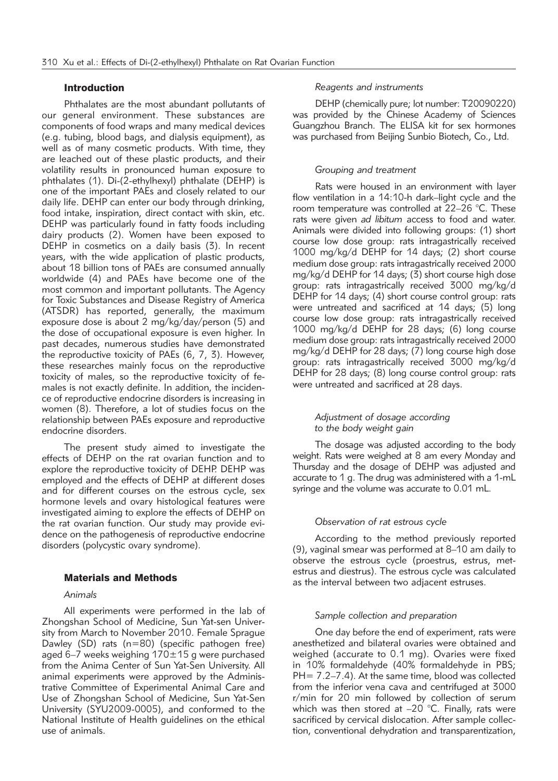## Introduction

Phthalates are the most abundant pollutants of our general environment. These substances are components of food wraps and many medical devices (e.g. tubing, blood bags, and dialysis equipment), as well as of many cosmetic products. With time, they are leached out of these plastic products, and their volatility results in pronounced human exposure to phthalates (1). Di-(2-ethylhexyl) phthalate (DEHP) is one of the important PAEs and closely related to our daily life. DEHP can enter our body through drinking, food intake, inspiration, direct contact with skin, etc. DEHP was particularly found in fatty foods including dairy products (2). Women have been exposed to DEHP in cosmetics on a daily basis (3). In recent years, with the wide application of plastic products, about 18 billion tons of PAEs are consumed annually worldwide (4) and PAEs have become one of the most common and important pollutants. The Agency for Toxic Substances and Disease Registry of America (ATSDR) has reported, generally, the maximum exposure dose is about 2 mg/kg/day/person (5) and the dose of occupational exposure is even higher. In past decades, numerous studies have demonstrated the reproductive toxicity of PAEs (6, 7, 3). However, these researches mainly focus on the reproductive toxicity of males, so the reproductive toxicity of females is not exactly definite. In addition, the incidence of reproductive endocrine disorders is increasing in women (8). Therefore, a lot of studies focus on the relationship between PAEs exposure and reproductive endocrine disorders.

The present study aimed to investigate the effects of DEHP on the rat ovarian function and to explore the reproductive toxicity of DEHP. DEHP was employed and the effects of DEHP at different doses and for different courses on the estrous cycle, sex hormone levels and ovary histological features were investigated aiming to explore the effects of DEHP on the rat ovarian function. Our study may provide evidence on the pathogenesis of reproductive endocrine disorders (polycystic ovary syndrome).

## Materials and Methods

#### *Animals*

All experiments were performed in the lab of Zhongshan School of Medicine, Sun Yat-sen University from March to November 2010. Female Sprague Dawley (SD) rats (n=80) (specific pathogen free) aged 6–7 weeks weighing 170±15 g were purchased from the Anima Center of Sun Yat-Sen University. All animal experiments were approved by the Administrative Committee of Experimental Animal Care and Use of Zhongshan School of Medicine, Sun Yat-Sen University (SYU2009-0005), and conformed to the National Institute of Health guidelines on the ethical use of animals.

#### *Reagents and instruments*

DEHP (chemically pure; lot number: T20090220) was provided by the Chinese Academy of Sciences Guangzhou Branch. The ELISA kit for sex hormones was purchased from Beijing Sunbio Biotech, Co., Ltd.

### *Grouping and treatment*

Rats were housed in an environment with layer flow ventilation in a 14:10-h dark–light cycle and the room temperature was controlled at 22–26 °C. These rats were given *ad libitum* access to food and water. Animals were divided into following groups: (1) short course low dose group: rats intragastrically received 1000 mg/kg/d DEHP for 14 days; (2) short course medium dose group: rats intragastrically received 2000 mg/kg/d DEHP for 14 days; (3) short course high dose group: rats intragastrically received 3000 mg/kg/d DEHP for 14 days; (4) short course control group: rats were untreated and sacrificed at 14 days; (5) long course low dose group: rats intragastrically received 1000 mg/kg/d DEHP for 28 days; (6) long course medium dose group: rats intragastrically received 2000 mg/kg/d DEHP for 28 days; (7) long course high dose group: rats intragastrically received 3000 mg/kg/d DEHP for 28 days; (8) long course control group: rats were untreated and sacrificed at 28 days.

## *Adjustment of dosage according to the body weight gain*

The dosage was adjusted according to the body weight. Rats were weighed at 8 am every Monday and Thursday and the dosage of DEHP was adjusted and accurate to 1 g. The drug was administered with a 1-mL syringe and the volume was accurate to 0.01 mL.

#### *Observation of rat estrous cycle*

According to the method previously reported (9), vaginal smear was performed at 8–10 am daily to observe the estrous cycle (proestrus, estrus, metestrus and diestrus). The estrous cycle was calculated as the interval between two adjacent estruses.

#### *Sample collection and preparation*

One day before the end of experiment, rats were anesthetized and bilateral ovaries were obtained and weighed (accurate to 0.1 mg). Ovaries were fixed in 10% formaldehyde (40% formaldehyde in PBS; PH= 7.2–7.4). At the same time, blood was collected from the inferior vena cava and centrifuged at 3000 r/min for 20 min followed by collection of serum which was then stored at  $-20$  °C. Finally, rats were sacrificed by cervical dislocation. After sample collection, conventional dehydration and transparentization,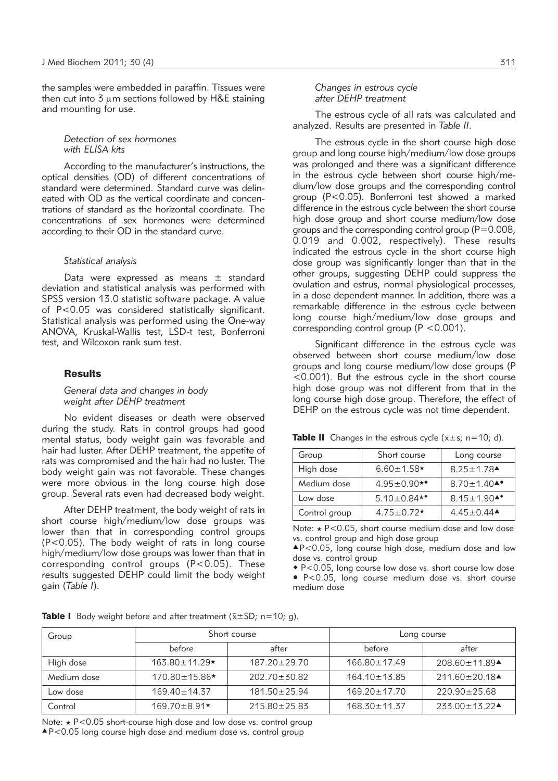the samples were embedded in paraffin. Tissues were then cut into  $3 \mu m$  sections followed by H&E staining and mounting for use.

## *Detection of sex hormones with ELISA kits*

According to the manufacturer's instructions, the optical densities (OD) of different concentrations of standard were determined. Standard curve was delineated with OD as the vertical coordinate and concentrations of standard as the horizontal coordinate. The concentrations of sex hormones were determined according to their OD in the standard curve.

#### *Statistical analysis*

Data were expressed as means  $\pm$  standard deviation and statistical analysis was performed with SPSS version 13.0 statistic software package. A value of P<0.05 was considered statistically significant. Statistical analysis was performed using the One-way ANOVA, Kruskal-Wallis test, LSD-t test, Bonferroni test, and Wilcoxon rank sum test.

#### **Results**

## *General data and changes in body weight after DEHP treatment*

No evident diseases or death were observed during the study. Rats in control groups had good mental status, body weight gain was favorable and hair had luster. After DEHP treatment, the appetite of rats was compromised and the hair had no luster. The body weight gain was not favorable. These changes were more obvious in the long course high dose group. Several rats even had decreased body weight.

After DEHP treatment, the body weight of rats in short course high/medium/low dose groups was lower than that in corresponding control groups (P<0.05). The body weight of rats in long course high/medium/low dose groups was lower than that in corresponding control groups (P<0.05). These results suggested DEHP could limit the body weight gain (*Table I*).

#### *Changes in estrous cycle after DEHP treatment*

The estrous cycle of all rats was calculated and analyzed. Results are presented in *Table II*.

The estrous cycle in the short course high dose group and long course high/medium/low dose groups was prolonged and there was a significant difference in the estrous cycle between short course high/medium/low dose groups and the corresponding control group (P<0.05). Bonferroni test showed a marked difference in the estrous cycle between the short course high dose group and short course medium/low dose groups and the corresponding control group  $(P=0.008, P=0.008)$  $0.019$  and  $0.002$ , respectively). These results indicated the estrous cycle in the short course high dose group was significantly longer than that in the other groups, suggesting DEHP could suppress the ovulation and estrus, normal physiological processes, in a dose dependent manner. In addition, there was a remarkable difference in the estrous cycle between long course high/medium/low dose groups and corresponding control group (P <0.001).

Significant difference in the estrous cycle was observed between short course medium/low dose groups and long course medium/low dose groups (P <0.001). But the estrous cycle in the short course high dose group was not different from that in the long course high dose group. Therefore, the effect of DEHP on the estrous cycle was not time dependent.

**Table II** Changes in the estrous cycle ( $\bar{x} \pm s$ ; n=10; d).

| Group         | Short course                    | Long course                                       |  |
|---------------|---------------------------------|---------------------------------------------------|--|
| High dose     | $6.60 \pm 1.58$ *               | $8.25 \pm 1.78$ <sup><math>\triangle</math></sup> |  |
| Medium dose   | $4.95 \pm 0.90 \star^{\bullet}$ | 8.70 $\pm$ 1.40 $\triangle$ °                     |  |
| Low dose      | $5.10 \pm 0.84$ **              | 8.15 $\pm$ 1.90 $\blacktriangle$ *                |  |
| Control group | $4.75 \pm 0.72*$                | $4.45 \pm 0.44$                                   |  |

Note: ★ P<0.05, short course medium dose and low dose vs. control group and high dose group

 $\blacktriangle$  P<0.05, long course high dose, medium dose and low dose vs. control group

◆ P<0.05, long course low dose vs. short course low dose ● P<0.05, long course medium dose vs. short course medium dose

|  |  |  |  | <b>Table I</b> Body weight before and after treatment ( $\bar{x} \pm SD$ ; n=10; g). |
|--|--|--|--|--------------------------------------------------------------------------------------|
|--|--|--|--|--------------------------------------------------------------------------------------|

| Group       | Short course             |                    | Long course        |                                                      |  |
|-------------|--------------------------|--------------------|--------------------|------------------------------------------------------|--|
|             | before                   | after              | before             | after                                                |  |
| High dose   | $163.80 \pm 11.29 \star$ | $187.20 \pm 29.70$ | $166.80 \pm 17.49$ | $208.60 \pm 11.89$ <sup><math>\triangle</math></sup> |  |
| Medium dose | $170.80 \pm 15.86 \star$ | $202.70 \pm 30.82$ | $164.10 \pm 13.85$ | $211.60 \pm 20.18$ <sup><math>\triangle</math></sup> |  |
| Low dose    | $169.40 \pm 14.37$       | $181.50 \pm 25.94$ | $169.20 \pm 17.70$ | $220.90 \pm 25.68$                                   |  |
| Control     | $169.70 \pm 8.91 \star$  | $215.80 \pm 25.83$ | $168.30 \pm 11.37$ | $233.00 \pm 13.22$                                   |  |

Note:  $\star$  P<0.05 short-course high dose and low dose vs. control group  $\blacktriangle P$ <0.05 long course high dose and medium dose vs. control group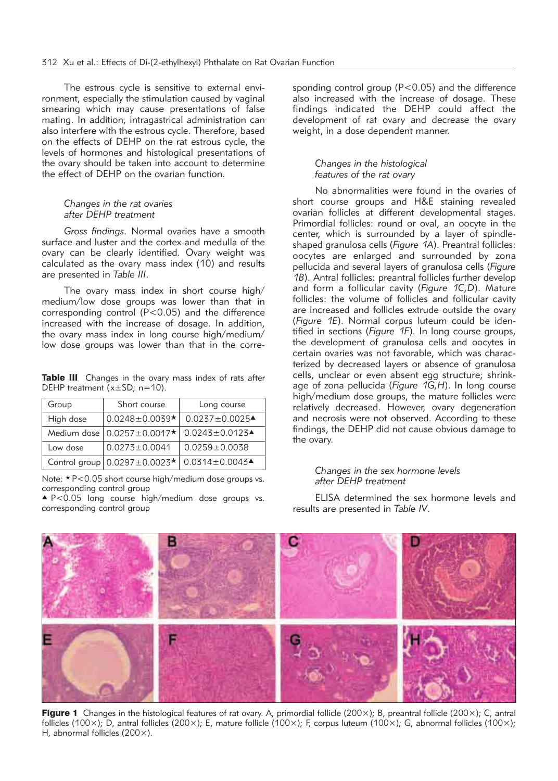The estrous cycle is sensitive to external environment, especially the stimulation caused by vaginal smearing which may cause presentations of false mating. In addition, intragastrical administration can also interfere with the estrous cycle. Therefore, based on the effects of DEHP on the rat estrous cycle, the levels of hormones and histological presentations of the ovary should be taken into account to determine the effect of DEHP on the ovarian function.

## *Changes in the rat ovaries after DEHP treatment*

*Gross findings.* Normal ovaries have a smooth surface and luster and the cortex and medulla of the ovary can be clearly identified. Ovary weight was calculated as the ovary mass index (10) and results are presented in *Table III*.

The ovary mass index in short course high/ medium/low dose groups was lower than that in corresponding control (P<0.05) and the difference increased with the increase of dosage. In addition, the ovary mass index in long course high/medium/ low dose groups was lower than that in the corre-

Table III Changes in the ovary mass index of rats after DEHP treatment  $(\bar{x} \pm SD; n=10)$ .

| Group     | Short course                      | Long course                                           |
|-----------|-----------------------------------|-------------------------------------------------------|
| High dose | $0.0248 \pm 0.0039$ *             | $0.0237 \pm 0.0025$ <sup><math>\triangle</math></sup> |
|           | Medium dose $0.0257 \pm 0.0017$ * | $0.0243 \pm 0.0123$ <sup><math>\triangle</math></sup> |
| Low dose  | $0.0273 \pm 0.0041$               | $0.0259 \pm 0.0038$                                   |
|           | Control group   0.0297 ± 0.0023★  | $0.0314 \pm 0.0043$ <sup><math>\triangle</math></sup> |

Note: ★ P<0.05 short course high/medium dose groups vs. corresponding control group

▲ P<0.05 long course high/medium dose groups vs. corresponding control group

sponding control group (P<0.05) and the difference also increased with the increase of dosage. These findings indicated the DEHP could affect the development of rat ovary and decrease the ovary weight, in a dose dependent manner.

## *Changes in the histological features of the rat ovary*

No abnormalities were found in the ovaries of short course groups and H&E staining revealed ovarian follicles at different developmental stages. Primordial follicles: round or oval, an oocyte in the center, which is surrounded by a layer of spindleshaped granulosa cells (*Figure 1A*). Preantral follicles: oocytes are enlarged and surrounded by zona pellucida and several layers of granulosa cells (*Figure 1B*). Antral follicles: preantral follicles further develop and form a follicular cavity (*Figure 1C,D*). Mature follicles: the volume of follicles and follicular cavity are increased and follicles extrude outside the ovary (*Figure 1E*). Normal corpus luteum could be identified in sections (*Figure 1F*). In long course groups, the development of granulosa cells and oocytes in certain ovaries was not favorable, which was characterized by decreased layers or absence of granulosa cells, unclear or even absent egg structure; shrinkage of zona pellucida (*Figure 1G,H*). In long course high/medium dose groups, the mature follicles were relatively decreased. However, ovary degeneration and necrosis were not observed. According to these findings, the DEHP did not cause obvious damage to the ovary.

#### *Changes in the sex hormone levels after DEHP treatment*

ELISA determined the sex hormone levels and results are presented in *Table IV*.



Figure 1 Changes in the histological features of rat ovary. A, primordial follicle (200 $\times$ ); B, preantral follicle (200 $\times$ ); C, antral follicles (100×); D, antral follicles (200×); E, mature follicle (100×); F, corpus luteum (100×); G, abnormal follicles (100×); H, abnormal follicles (200×).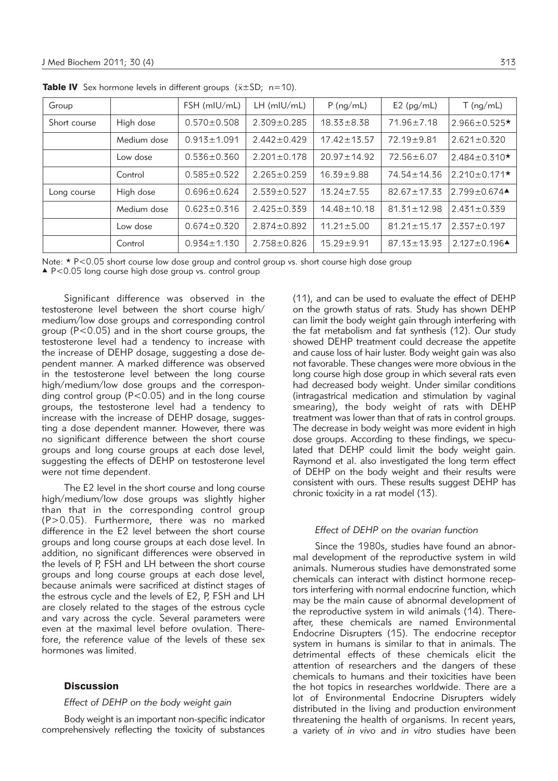| Group        |             | $FSH$ (mIU/mL)    | $LH$ (mIU/mL)     | $P$ (ng/mL)       | $E2$ (pg/mL)      | $T$ (ng/mL)                                         |
|--------------|-------------|-------------------|-------------------|-------------------|-------------------|-----------------------------------------------------|
| Short course | High dose   | $0.570 \pm 0.508$ | $2.309 \pm 0.285$ | $18.33 \pm 8.38$  | $71.96 \pm 7.18$  | $2.966 \pm 0.525$ *                                 |
|              | Medium dose | $0.913 \pm 1.091$ | $2.442 \pm 0.429$ | $17.42 \pm 13.57$ | $72.19 \pm 9.81$  | $2.621 \pm 0.320$                                   |
|              | Low dose    | $0.536 \pm 0.360$ | $2.201 \pm 0.178$ | $20.97 \pm 14.92$ | 72.56±6.07        | $2.484 \pm 0.310*$                                  |
|              | Control     | $0.585 \pm 0.522$ | $2.265 \pm 0.259$ | $16.39 + 9.88$    | $74.54 \pm 14.36$ | $2.210 \pm 0.171 \star$                             |
| Long course  | High dose   | $0.696 \pm 0.624$ | $2.539 \pm 0.527$ | $13.24 \pm 7.55$  | $82.67 \pm 17.33$ | $2.799 \pm 0.674$                                   |
|              | Medium dose | $0.623 \pm 0.316$ | $2.425 \pm 0.339$ | $14.48 \pm 10.18$ | $81.31 \pm 12.98$ | $2.431 \pm 0.339$                                   |
|              | Low dose    | $0.674 \pm 0.320$ | $2.874 \pm 0.892$ | $11.21 \pm 5.00$  | $81.21 \pm 15.17$ | $2.357 \pm 0.197$                                   |
|              | Control     | $0.934 \pm 1.130$ | $2.758 \pm 0.826$ | $15.29 \pm 9.91$  | $87.13 \pm 13.93$ | $2.127 \pm 0.196$ <sup><math>\triangle</math></sup> |

Table IV Sex hormone levels in different groups  $(\bar{x} \pm SD; n=10)$ .

Note:  $\star$  P<0.05 short course low dose group and control group vs. short course high dose group  $\textstyle\blacktriangle$  P<0.05 long course high dose group vs. control group

Significant difference was observed in the testosterone level between the short course high/ medium/low dose groups and corresponding control group (P<0.05) and in the short course groups, the testosterone level had a tendency to increase with the increase of DEHP dosage, suggesting a dose dependent manner. A marked difference was observed in the testosterone level between the long course high/medium/low dose groups and the corresponding control group (P<0.05) and in the long course groups, the testosterone level had a tendency to increase with the increase of DEHP dosage, suggesting a dose dependent manner. However, there was no significant difference between the short course groups and long course groups at each dose level, suggesting the effects of DEHP on testosterone level were not time dependent.

The E2 level in the short course and long course high/medium/low dose groups was slightly higher than that in the corresponding control group (P>0.05). Furthermore, there was no marked difference in the E2 level between the short course groups and long course groups at each dose level. In addition, no significant differences were observed in the levels of P, FSH and LH between the short course groups and long course groups at each dose level, because animals were sacrificed at distinct stages of the estrous cycle and the levels of E2, P, FSH and LH are closely related to the stages of the estrous cycle and vary across the cycle. Several parameters were even at the maximal level before ovulation. Therefore, the reference value of the levels of these sex hormones was limited.

## **Discussion**

## *Effect of DEHP on the body weight gain*

Body weight is an important non-specific indicator comprehensively reflecting the toxicity of substances (11), and can be used to evaluate the effect of DEHP on the growth status of rats. Study has shown DEHP can limit the body weight gain through interfering with the fat metabolism and fat synthesis (12). Our study showed DEHP treatment could decrease the appetite and cause loss of hair luster. Body weight gain was also not favorable. These changes were more obvious in the long course high dose group in which several rats even had decreased body weight. Under similar conditions (intragastrical medication and stimulation by vaginal smearing), the body weight of rats with DEHP treatment was lower than that of rats in control groups. The decrease in body weight was more evident in high dose groups. According to these findings, we speculated that DEHP could limit the body weight gain. Raymond et al. also investigated the long term effect of DEHP on the body weight and their results were consistent with ours. These results suggest DEHP has chronic toxicity in a rat model (13).

## *Effect of DEHP on the ovarian function*

Since the 1980s, studies have found an abnormal development of the reproductive system in wild animals. Numerous studies have demonstrated some chemicals can interact with distinct hormone receptors interfering with normal endocrine function, which may be the main cause of abnormal development of the reproductive system in wild animals (14). Thereafter, these chemicals are named Environmental Endocrine Disrupters (15). The endocrine receptor system in humans is similar to that in animals. The detrimental effects of these chemicals elicit the attention of researchers and the dangers of these chemicals to humans and their toxicities have been the hot topics in researches worldwide. There are a lot of Environmental Endocrine Disrupters widely distributed in the living and production environment threatening the health of organisms. In recent years, a variety of *in vivo* and *in vitro* studies have been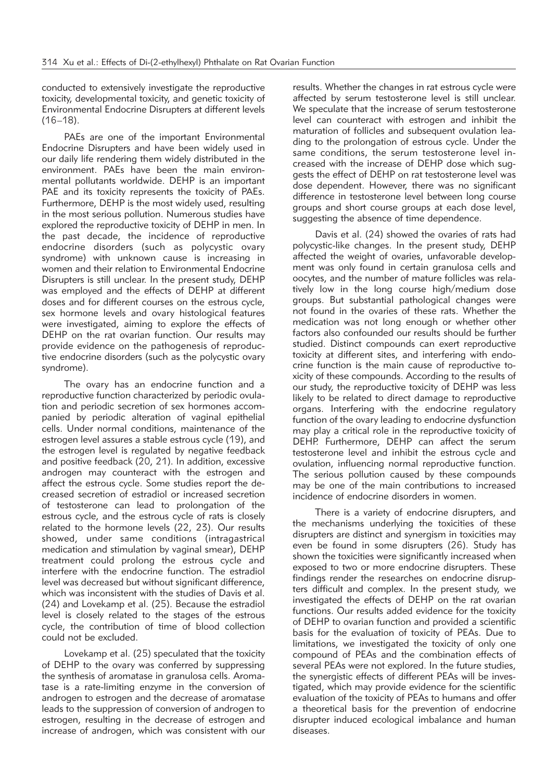conducted to extensively investigate the reproductive toxicity, developmental toxicity, and genetic toxicity of Environ mental Endocrine Disrupters at different levels (16–18).

PAEs are one of the important Environmental Endocrine Disrupters and have been widely used in our daily life rendering them widely distributed in the environment. PAEs have been the main environmental pollutants worldwide. DEHP is an important PAE and its toxicity represents the toxicity of PAEs. Furthermore, DEHP is the most widely used, resulting in the most serious pollution. Numerous studies have explored the reproductive toxicity of DEHP in men. In the past decade, the incidence of reproductive endocrine disorders (such as polycystic ovary syndrome) with unknown cause is increasing in women and their relation to Environmental Endocrine Disrupters is still unclear. In the present study, DEHP was employed and the effects of DEHP at different doses and for different courses on the estrous cycle, sex hormone levels and ovary histological features were investigated, aiming to explore the effects of DEHP on the rat ovarian function. Our results may provide evidence on the pathogenesis of reproductive endocrine disorders (such as the polycystic ovary syndrome).

The ovary has an endocrine function and a reproductive function characterized by periodic ovulation and periodic secretion of sex hormones accompanied by periodic alteration of vaginal epithelial cells. Under normal conditions, maintenance of the estrogen level assures a stable estrous cycle (19), and the estrogen level is regulated by negative feedback and positive feedback  $(20, 21)$ . In addition, excessive androgen may counteract with the estrogen and affect the estrous cycle. Some studies report the decre ased secretion of estradiol or increased secretion of testosterone can lead to prolongation of the estrous cycle, and the estrous cycle of rats is closely related to the hormone levels (22, 23). Our results showed, under same conditions (intragastrical medication and stimulation by vaginal smear), DEHP treatment could prolong the estrous cycle and interfere with the endocrine function. The estradiol level was decreased but without significant difference, which was inconsistent with the studies of Davis et al. (24) and Lovekamp et al. (25). Because the estradiol level is closely related to the stages of the estrous cycle, the contribution of time of blood collection could not be excluded.

Lovekamp et al. (25) speculated that the toxicity of DEHP to the ovary was conferred by suppressing the synthesis of aromatase in granulosa cells. Aromatase is a rate-limiting enzyme in the conversion of androgen to estrogen and the decrease of aromatase leads to the suppression of conversion of androgen to estrogen, resulting in the decrease of estrogen and increase of androgen, which was consistent with our

results. Whether the changes in rat estrous cycle were affected by serum testosterone level is still unclear. We speculate that the increase of serum testosterone level can counteract with estrogen and inhibit the maturation of follicles and subsequent ovulation leading to the prolongation of estrous cycle. Under the same conditions, the serum testosterone level increased with the increase of DEHP dose which suggests the effect of DEHP on rat testosterone level was dose dependent. However, there was no significant difference in testosterone level between long course groups and short course groups at each dose level, suggesting the absence of time dependence.

Davis et al. (24) showed the ovaries of rats had polycystic-like changes. In the present study, DEHP affected the weight of ovaries, unfavorable development was only found in certain granulosa cells and oocytes, and the number of mature follicles was relatively low in the long course high/medium dose groups. But substantial pathological changes were not found in the ovaries of these rats. Whether the medication was not long enough or whether other factors also confounded our results should be further studied. Distinct compounds can exert reproductive toxicity at different sites, and interfering with endocrine function is the main cause of reproductive toxicity of these compounds. According to the results of our study, the reproductive toxicity of DEHP was less likely to be related to direct damage to reproductive organs. Interfering with the endocrine regulatory function of the ovary leading to endocrine dysfunction may play a critical role in the reproductive toxicity of DEHP. Furthermore, DEHP can affect the serum testosterone level and inhibit the estrous cycle and ovulation, influencing normal reproductive function. The serious pollution caused by these compounds may be one of the main contributions to increased incidence of endocrine disorders in women.

There is a variety of endocrine disrupters, and the mechanisms underlying the toxicities of these disrupters are distinct and synergism in toxicities may even be found in some disrupters (26). Study has shown the toxicities were significantly increased when exposed to two or more endocrine disrupters. These findings render the researches on endocrine disrupters difficult and complex. In the present study, we investigated the effects of DEHP on the rat ovarian functions. Our results added evidence for the toxicity of DEHP to ovarian function and provided a scientific basis for the evaluation of toxicity of PEAs. Due to limitations, we investigated the toxicity of only one compound of PEAs and the combination effects of several PEAs were not explored. In the future studies, the synergistic effects of different PEAs will be investigated, which may provide evidence for the scientific evaluation of the toxicity of PEAs to humans and offer a theoretical basis for the prevention of endocrine disrupter induced ecological imbalance and human diseases.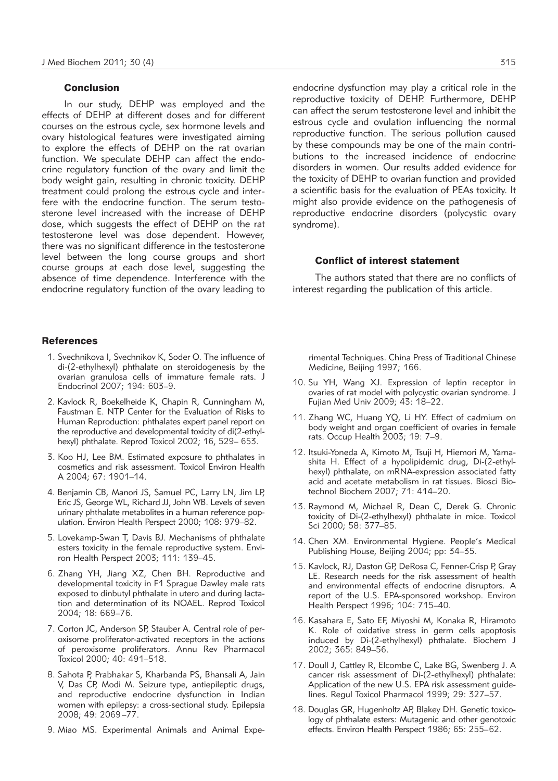#### Conclusion

In our study, DEHP was employed and the effects of DEHP at different doses and for different courses on the estrous cycle, sex hormone levels and ovary histological features were investigated aiming to explore the effects of DEHP on the rat ovarian function. We speculate DEHP can affect the endocrine regulatory function of the ovary and limit the body weight gain, resulting in chronic toxicity. DEHP treatment could prolong the estrous cycle and inter fere with the endocrine function. The serum testosterone level increased with the increase of DEHP dose, which suggests the effect of DEHP on the rat testosterone level was dose dependent. However, there was no significant difference in the testosterone level between the long course groups and short course groups at each dose level, suggesting the absence of time dependence. Interference with the endocrine regulatory function of the ovary leading to

## **References**

- 1. Svechnikova I, Svechnikov K, Soder O. The influence of di-(2-ethylhexyl) phthalate on steroidogenesis by the ovarian granulosa cells of immature female rats. J Endocrinol 2007; 194: 603–9.
- 2. Kavlock R, Boekelheide K, Chapin R, Cunningham M, Faustman E. NTP Center for the Evaluation of Risks to Human Reproduction: phthalates expert panel report on the reproductive and developmental toxicity of di(2-ethylhexyl) phthalate. Reprod Toxicol 2002; 16, 529– 653.
- 3. Koo HJ, Lee BM. Estimated exposure to phthalates in cosmetics and risk assessment. Toxicol Environ Health A 2004; 67: 1901–14.
- 4. Benjamin CB, Manori JS, Samuel PC, Larry LN, Jim LP, Eric JS, George WL, Richard JJ, John WB. Levels of seven urinary phthalate metabolites in a human reference population. Environ Health Perspect 2000; 108: 979-82.
- 5. Lovekamp-Swan T, Davis BJ. Mechanisms of phthalate esters toxicity in the female reproductive system. Environ Health Perspect 2003; 111: 139–45.
- 6. Zhang YH, Jiang XZ, Chen BH. Reproductive and developmental toxicity in F1 Sprague Dawley male rats exposed to dinbutyl phthalate in utero and during lactation and determination of its NOAEL. Reprod Toxicol 2004; 18: 669–76.
- 7. Corton JC, Anderson SP, Stauber A. Central role of peroxisome proliferator-activated receptors in the actions of peroxisome proliferators. Annu Rev Pharmacol Toxicol 2000; 40: 491–518.
- 8. Sahota P, Prabhakar S, Kharbanda PS, Bhansali A, Jain V, Das CP, Modi M. Seizure type, antiepileptic drugs, and reproductive endocrine dysfunction in Indian women with epilepsy: a cross-sectional study. Epilepsia 2008; 49: 2069–77.
- 9. Miao MS. Experimental Animals and Animal Expe-

endocrine dysfunction may play a critical role in the reproductive toxicity of DEHP. Furthermore, DEHP can affect the serum testosterone level and inhibit the estrous cycle and ovulation influencing the normal reproductive function. The serious pollution caused by these compounds may be one of the main contributions to the increased incidence of endocrine disorders in women. Our results added evidence for the toxicity of DEHP to ovarian function and provided a scientific basis for the evaluation of PEAs toxicity. It might also provide evidence on the pathogenesis of reproductive endocrine disorders (polycystic ovary syndrome).

## Conflict of interest statement

The authors stated that there are no conflicts of interest regarding the publication of this article.

rimental Techniques. China Press of Traditional Chinese Medicine, Beijing 1997; 166.

- 10. Su YH, Wang XJ. Expression of leptin receptor in ovaries of rat model with polycystic ovarian syndrome. J Fujian Med Univ 2009; 43: 18–22.
- 11. Zhang WC, Huang YQ, Li HY. Effect of cadmium on body weight and organ coefficient of ovaries in female rats. Occup Health 2003; 19: 7–9.
- 12. Itsuki-Yoneda A, Kimoto M, Tsuji H, Hiemori M, Yamashita H. Effect of a hypolipidemic drug, Di-(2-ethylhexyl) phthalate, on mRNA-expression associated fatty acid and acetate metabolism in rat tissues. Biosci Bio technol Biochem 2007; 71: 414–20.
- 13. Raymond M, Michael R, Dean C, Derek G. Chronic toxicity of Di-(2-ethylhexyl) phthalate in mice. Toxicol Sci 2000; 58: 377–85.
- 14. Chen XM. Environmental Hygiene. People's Medical Publishing House, Beijing 2004; pp: 34–35.
- 15. Kavlock, RJ, Daston GP, DeRosa C, Fenner-Crisp P, Gray LE. Research needs for the risk assessment of health and environmental effects of endocrine disruptors. A report of the U.S. EPA-sponsored workshop. Environ Health Perspect 1996; 104: 715–40.
- 16. Kasahara E, Sato EF, Miyoshi M, Konaka R, Hiramoto K. Role of oxidative stress in germ cells apoptosis induced by Di-(2-ethylhexyl) phthalate. Biochem J 2002; 365: 849–56.
- 17. Doull J, Cattley R, Elcombe C, Lake BG, Swenberg J. A cancer risk assessment of Di-(2-ethylhexyl) phthalate: Application of the new U.S. EPA risk assessment quidelines. Regul Toxicol Pharmacol 1999; 29: 327–57.
- 18. Douglas GR, Hugenholtz AP, Blakey DH. Genetic toxicology of phthalate esters: Mutagenic and other genotoxic effects. Environ Health Perspect 1986; 65: 255–62.